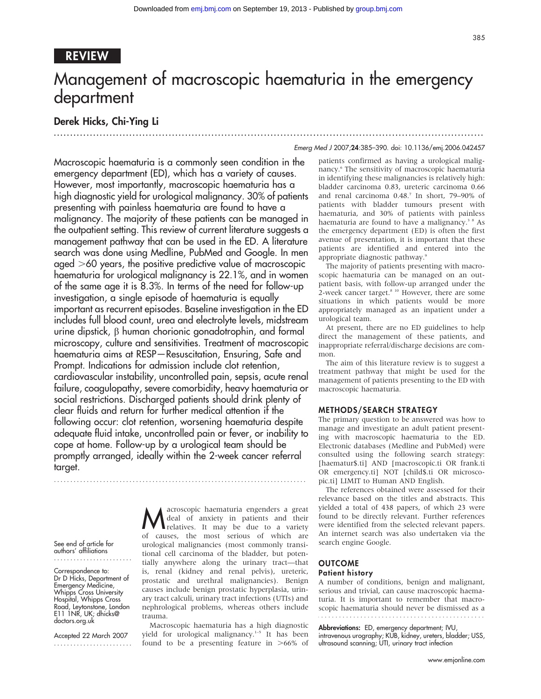### REVIEW

# Management of macroscopic haematuria in the emergency department

## Derek Hicks, Chi-Ying Li

...................................................................................................................................

Emerg Med J 2007;24:385–390. doi: 10.1136/emj.2006.042457

Macroscopic haematuria is a commonly seen condition in the emergency department (ED), which has a variety of causes. However, most importantly, macroscopic haematuria has a high diagnostic yield for urological malignancy. 30% of patients presenting with painless haematuria are found to have a malignancy. The majority of these patients can be managed in the outpatient setting. This review of current literature suggests a management pathway that can be used in the ED. A literature search was done using Medline, PubMed and Google. In men aged  $>60$  years, the positive predictive value of macroscopic haematuria for urological malignancy is 22.1%, and in women of the same age it is 8.3%. In terms of the need for follow-up investigation, a single episode of haematuria is equally important as recurrent episodes. Baseline investigation in the ED includes full blood count, urea and electrolyte levels, midstream urine dipstick,  $\beta$  human chorionic gonadotrophin, and formal microscopy, culture and sensitivities. Treatment of macroscopic haematuria aims at RESP—Resuscitation, Ensuring, Safe and Prompt. Indications for admission include clot retention, cardiovascular instability, uncontrolled pain, sepsis, acute renal failure, coagulopathy, severe comorbidity, heavy haematuria or social restrictions. Discharged patients should drink plenty of clear fluids and return for further medical attention if the following occur: clot retention, worsening haematuria despite adequate fluid intake, uncontrolled pain or fever, or inability to cope at home. Follow-up by a urological team should be promptly arranged, ideally within the 2-week cancer referral target.

.............................................................................

See end of article for authors' affiliations

Correspondence to: Dr D Hicks, Department of Emergency Medicine, Whipps Cross University Hospital, Whipps Cross Road, Leytonstone, London E11 1NR, UK; dhicks@ doctors.org.uk

Accepted 22 March 2007 ........................

**M** acroscopic haematuria engenders a great<br>relatives. It may be due to a variety<br>of squees the mest serious of which are deal of anxiety in patients and their of causes, the most serious of which are urological malignancies (most commonly transitional cell carcinoma of the bladder, but potentially anywhere along the urinary tract—that is, renal (kidney and renal pelvis), ureteric, prostatic and urethral malignancies). Benign causes include benign prostatic hyperplasia, urinary tract calculi, urinary tract infections (UTIs) and nephrological problems, whereas others include trauma.

Macroscopic haematuria has a high diagnostic yield for urological malignancy.<sup>1-5</sup> It has been found to be a presenting feature in  $>66\%$  of patients confirmed as having a urological malignancy.6 The sensitivity of macroscopic haematuria in identifying these malignancies is relatively high: bladder carcinoma 0.83, ureteric carcinoma 0.66 and renal carcinoma 0.48.7 In short, 79–90% of patients with bladder tumours present with haematuria, and 30% of patients with painless haematuria are found to have a malignancy.<sup>3</sup> 8 As the emergency department (ED) is often the first avenue of presentation, it is important that these patients are identified and entered into the appropriate diagnostic pathway.<sup>9</sup>

The majority of patients presenting with macroscopic haematuria can be managed on an outpatient basis, with follow-up arranged under the 2-week cancer target.<sup>8 10</sup> However, there are some situations in which patients would be more appropriately managed as an inpatient under a urological team.

At present, there are no ED guidelines to help direct the management of these patients, and inappropriate referral/discharge decisions are common.

The aim of this literature review is to suggest a treatment pathway that might be used for the management of patients presenting to the ED with macroscopic haematuria.

#### METHODS/SEARCH STRATEGY

The primary question to be answered was how to manage and investigate an adult patient presenting with macroscopic haematuria to the ED. Electronic databases (Medline and PubMed) were consulted using the following search strategy: [haematur\$.ti] AND [macroscopic.ti OR frank.ti OR emergency.ti] NOT [child\$.ti OR microscopic.ti] LIMIT to Human AND English.

The references obtained were assessed for their relevance based on the titles and abstracts. This yielded a total of 438 papers, of which 23 were found to be directly relevant. Further references were identified from the selected relevant papers. An internet search was also undertaken via the search engine Google.

## **OUTCOME**

#### Patient history

A number of conditions, benign and malignant, serious and trivial, can cause macroscopic haematuria. It is important to remember that macroscopic haematuria should never be dismissed as a

Abbreviations: ED, emergency department; IVU, intravenous urography; KUB, kidney, ureters, bladder; USS, ultrasound scanning; UTI, urinary tract infection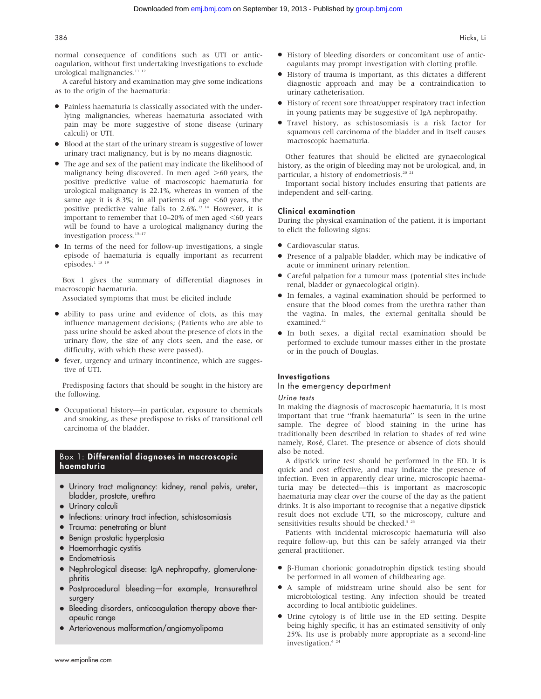normal consequence of conditions such as UTI or anticoagulation, without first undertaking investigations to exclude urological malignancies.<sup>11</sup><sup>12</sup>

A careful history and examination may give some indications as to the origin of the haematuria:

- N Painless haematuria is classically associated with the underlying malignancies, whereas haematuria associated with pain may be more suggestive of stone disease (urinary calculi) or UTI.
- Blood at the start of the urinary stream is suggestive of lower urinary tract malignancy, but is by no means diagnostic.
- The age and sex of the patient may indicate the likelihood of malignancy being discovered. In men aged  $>60$  years, the positive predictive value of macroscopic haematuria for urological malignancy is 22.1%, whereas in women of the same age it is 8.3%; in all patients of age  $<60$  years, the positive predictive value falls to  $2.6\%$ .<sup>13 14</sup> However, it is important to remember that  $10-20\%$  of men aged  $<60$  years will be found to have a urological malignancy during the investigation process.15–17
- In terms of the need for follow-up investigations, a single episode of haematuria is equally important as recurrent episodes. $1^{18}$ <sup>19</sup>

Box 1 gives the summary of differential diagnoses in macroscopic haematuria.

Associated symptoms that must be elicited include

- N ability to pass urine and evidence of clots, as this may influence management decisions; (Patients who are able to pass urine should be asked about the presence of clots in the urinary flow, the size of any clots seen, and the ease, or difficulty, with which these were passed).
- fever, urgency and urinary incontinence, which are suggestive of UTI.

Predisposing factors that should be sought in the history are the following.

 $\bullet$  Occupational history—in particular, exposure to chemicals and smoking, as these predispose to risks of transitional cell carcinoma of the bladder.

#### Box 1: Differential diagnoses in macroscopic haematuria

- Urinary tract malignancy: kidney, renal pelvis, ureter, bladder, prostate, urethra
- Urinary calculi
- Infections: urinary tract infection, schistosomiasis
- Trauma: penetrating or blunt
- Benign prostatic hyperplasia
- Haemorrhagic cystitis
- **•** Endometriosis
- Nephrological disease: IgA nephropathy, glomerulonephritis
- Postprocedural bleeding—for example, transurethral surgery
- Bleeding disorders, anticoagulation therapy above therapeutic range
- Arteriovenous malformation/angiomyolipoma
- $\bullet$  History of bleeding disorders or concomitant use of anticoagulants may prompt investigation with clotting profile.
- N History of trauma is important, as this dictates a different diagnostic approach and may be a contraindication to urinary catheterisation.
- $\bullet$  History of recent sore throat/upper respiratory tract infection in young patients may be suggestive of IgA nephropathy.
- N Travel history, as schistosomiasis is a risk factor for squamous cell carcinoma of the bladder and in itself causes macroscopic haematuria.

Other features that should be elicited are gynaecological history, as the origin of bleeding may not be urological, and, in particular, a history of endometriosis.<sup>20 21</sup>

Important social history includes ensuring that patients are independent and self-caring.

#### Clinical examination

During the physical examination of the patient, it is important to elicit the following signs:

- Cardiovascular status.
- Presence of a palpable bladder, which may be indicative of acute or imminent urinary retention.
- N Careful palpation for a tumour mass (potential sites include renal, bladder or gynaecological origin).
- In females, a vaginal examination should be performed to ensure that the blood comes from the urethra rather than the vagina. In males, the external genitalia should be examined.<sup>22</sup>
- N In both sexes, a digital rectal examination should be performed to exclude tumour masses either in the prostate or in the pouch of Douglas.

#### **Investigations**

#### In the emergency department

#### Urine tests

In making the diagnosis of macroscopic haematuria, it is most important that true ''frank haematuria'' is seen in the urine sample. The degree of blood staining in the urine has traditionally been described in relation to shades of red wine namely, Rosé, Claret. The presence or absence of clots should also be noted.

A dipstick urine test should be performed in the ED. It is quick and cost effective, and may indicate the presence of infection. Even in apparently clear urine, microscopic haematuria may be detected—this is important as macroscopic haematuria may clear over the course of the day as the patient drinks. It is also important to recognise that a negative dipstick result does not exclude UTI, so the microscopy, culture and sensitivities results should be checked.<sup>5</sup> <sup>23</sup>

Patients with incidental microscopic haematuria will also require follow-up, but this can be safely arranged via their general practitioner.

- β-Human chorionic gonadotrophin dipstick testing should be performed in all women of childbearing age.
- N A sample of midstream urine should also be sent for microbiological testing. Any infection should be treated according to local antibiotic guidelines.
- N Urine cytology is of little use in the ED setting. Despite being highly specific, it has an estimated sensitivity of only 25%. Its use is probably more appropriate as a second-line investigation.<sup>6</sup><sup>2</sup>

www.emjonline.com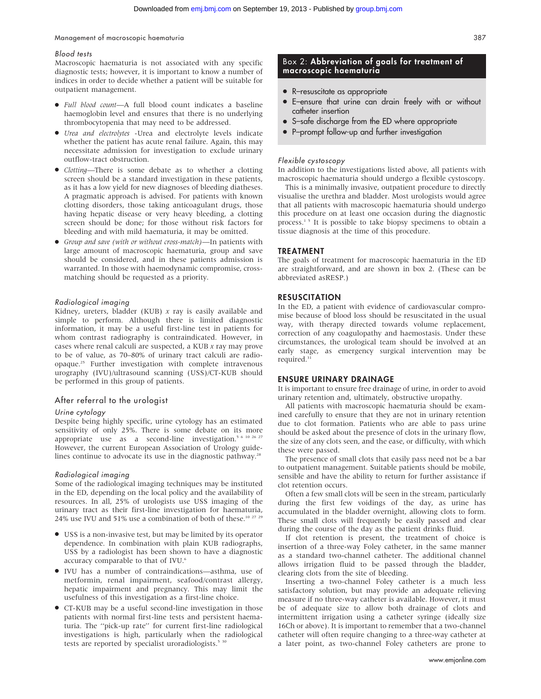#### Management of macroscopic haematuria 387

#### Blood tests

Macroscopic haematuria is not associated with any specific diagnostic tests; however, it is important to know a number of indices in order to decide whether a patient will be suitable for outpatient management.

- Full blood count—A full blood count indicates a baseline haemoglobin level and ensures that there is no underlying thrombocytopenia that may need to be addressed.
- $\bullet$  Urea and electrolytes -Urea and electrolyte levels indicate whether the patient has acute renal failure. Again, this may necessitate admission for investigation to exclude urinary outflow-tract obstruction.
- Clotting—There is some debate as to whether a clotting screen should be a standard investigation in these patients, as it has a low yield for new diagnoses of bleeding diatheses. A pragmatic approach is advised. For patients with known clotting disorders, those taking anticoagulant drugs, those having hepatic disease or very heavy bleeding, a clotting screen should be done; for those without risk factors for bleeding and with mild haematuria, it may be omitted.
- N Group and save (with or without cross-match)—In patients with large amount of macroscopic haematuria, group and save should be considered, and in these patients admission is warranted. In those with haemodynamic compromise, crossmatching should be requested as a priority.

#### Radiological imaging

Kidney, ureters, bladder (KUB)  $x$  ray is easily available and simple to perform. Although there is limited diagnostic information, it may be a useful first-line test in patients for whom contrast radiography is contraindicated. However, in cases where renal calculi are suspected, a KUB x ray may prove to be of value, as 70–80% of urinary tract calculi are radioopaque.25 Further investigation with complete intravenous urography (IVU)/ultrasound scanning (USS)/CT-KUB should be performed in this group of patients.

#### After referral to the urologist

#### Urine cytology

Despite being highly specific, urine cytology has an estimated sensitivity of only 25%. There is some debate on its more appropriate use as a second-line investigation.<sup>5 6 10 26 2</sup> However, the current European Association of Urology guidelines continue to advocate its use in the diagnostic pathway.<sup>28</sup>

#### Radiological imaging

Some of the radiological imaging techniques may be instituted in the ED, depending on the local policy and the availability of resources. In all, 25% of urologists use USS imaging of the urinary tract as their first-line investigation for haematuria, 24% use IVU and 51% use a combination of both of these.10 27 29

- N USS is a non-invasive test, but may be limited by its operator dependence. In combination with plain KUB radiographs, USS by a radiologist has been shown to have a diagnostic accuracy comparable to that of IVU.<sup>6</sup>
- N IVU has a number of contraindications—asthma, use of metformin, renal impairment, seafood/contrast allergy, hepatic impairment and pregnancy. This may limit the usefulness of this investigation as a first-line choice.
- CT-KUB may be a useful second-line investigation in those patients with normal first-line tests and persistent haematuria. The ''pick-up rate'' for current first-line radiological investigations is high, particularly when the radiological tests are reported by specialist uroradiologists.<sup>5</sup>

#### Box 2: Abbreviation of goals for treatment of macroscopic haematuria

- R-resuscitate as appropriate
- N E–ensure that urine can drain freely with or without catheter insertion
- S-safe discharge from the ED where appropriate
- P–prompt follow-up and further investigation

#### Flexible cystoscopy

In addition to the investigations listed above, all patients with macroscopic haematuria should undergo a flexible cystoscopy.

This is a minimally invasive, outpatient procedure to directly visualise the urethra and bladder. Most urologists would agree that all patients with macroscopic haematuria should undergo this procedure on at least one occasion during the diagnostic process.<sup>15</sup> It is possible to take biopsy specimens to obtain a tissue diagnosis at the time of this procedure.

#### TREATMENT

The goals of treatment for macroscopic haematuria in the ED are straightforward, and are shown in box 2. (These can be abbreviated asRESP.)

#### RESUSCITATION

In the ED, a patient with evidence of cardiovascular compromise because of blood loss should be resuscitated in the usual way, with therapy directed towards volume replacement, correction of any coagulopathy and haemostasis. Under these circumstances, the urological team should be involved at an early stage, as emergency surgical intervention may be required.<sup>31</sup>

#### ENSURE URINARY DRAINAGE

It is important to ensure free drainage of urine, in order to avoid urinary retention and, ultimately, obstructive uropathy.

All patients with macroscopic haematuria should be examined carefully to ensure that they are not in urinary retention due to clot formation. Patients who are able to pass urine should be asked about the presence of clots in the urinary flow, the size of any clots seen, and the ease, or difficulty, with which these were passed.

The presence of small clots that easily pass need not be a bar to outpatient management. Suitable patients should be mobile, sensible and have the ability to return for further assistance if clot retention occurs.

Often a few small clots will be seen in the stream, particularly during the first few voidings of the day, as urine has accumulated in the bladder overnight, allowing clots to form. These small clots will frequently be easily passed and clear during the course of the day as the patient drinks fluid.

If clot retention is present, the treatment of choice is insertion of a three-way Foley catheter, in the same manner as a standard two-channel catheter. The additional channel allows irrigation fluid to be passed through the bladder, clearing clots from the site of bleeding.

Inserting a two-channel Foley catheter is a much less satisfactory solution, but may provide an adequate relieving measure if no three-way catheter is available. However, it must be of adequate size to allow both drainage of clots and intermittent irrigation using a catheter syringe (ideally size 16Ch or above). It is important to remember that a two-channel catheter will often require changing to a three-way catheter at a later point, as two-channel Foley catheters are prone to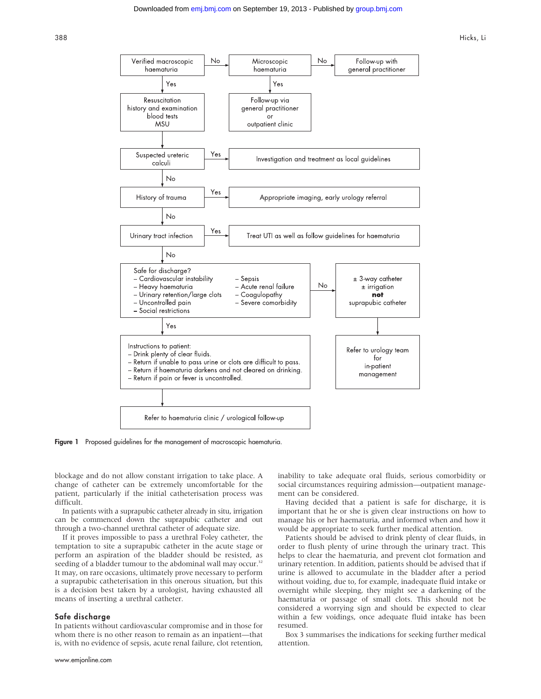388 Hicks, Li



Figure 1 Proposed guidelines for the management of macroscopic haematuria.

blockage and do not allow constant irrigation to take place. A change of catheter can be extremely uncomfortable for the patient, particularly if the initial catheterisation process was difficult.

In patients with a suprapubic catheter already in situ, irrigation can be commenced down the suprapubic catheter and out through a two-channel urethral catheter of adequate size.

If it proves impossible to pass a urethral Foley catheter, the temptation to site a suprapubic catheter in the acute stage or perform an aspiration of the bladder should be resisted, as seeding of a bladder tumour to the abdominal wall may occur.<sup>32</sup> It may, on rare occasions, ultimately prove necessary to perform a suprapubic catheterisation in this onerous situation, but this is a decision best taken by a urologist, having exhausted all means of inserting a urethral catheter.

#### Safe discharge

In patients without cardiovascular compromise and in those for whom there is no other reason to remain as an inpatient—that is, with no evidence of sepsis, acute renal failure, clot retention,

www.emjonline.com

inability to take adequate oral fluids, serious comorbidity or social circumstances requiring admission—outpatient management can be considered.

Having decided that a patient is safe for discharge, it is important that he or she is given clear instructions on how to manage his or her haematuria, and informed when and how it would be appropriate to seek further medical attention.

Patients should be advised to drink plenty of clear fluids, in order to flush plenty of urine through the urinary tract. This helps to clear the haematuria, and prevent clot formation and urinary retention. In addition, patients should be advised that if urine is allowed to accumulate in the bladder after a period without voiding, due to, for example, inadequate fluid intake or overnight while sleeping, they might see a darkening of the haematuria or passage of small clots. This should not be considered a worrying sign and should be expected to clear within a few voidings, once adequate fluid intake has been resumed.

Box 3 summarises the indications for seeking further medical attention.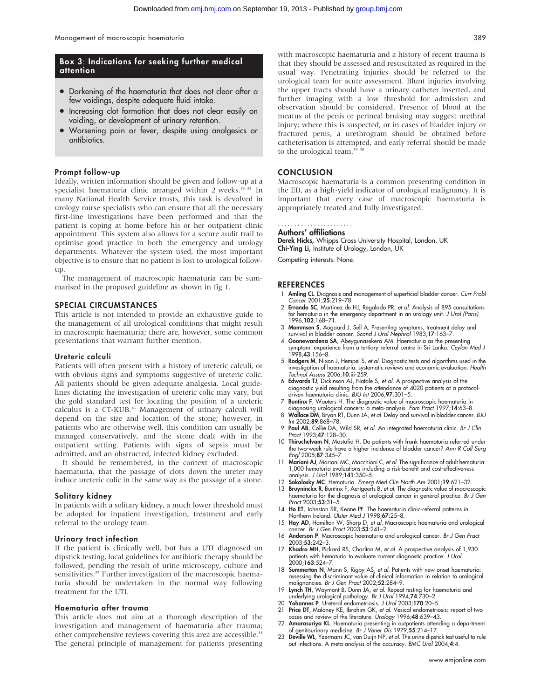#### Box 3: Indications for seeking further medical attention

- Darkening of the haematuria that does not clear after a few voidings, despite adequate fluid intake.
- Increasing clot formation that does not clear easily on voiding, or development of urinary retention.
- Worsening pain or fever, despite using analgesics or antibiotics.

#### Prompt follow-up

Ideally, written information should be given and follow-up at a specialist haematuria clinic arranged within 2 weeks.<sup>33-35</sup> In many National Health Service trusts, this task is devolved in urology nurse specialists who can ensure that all the necessary first-line investigations have been performed and that the patient is coping at home before his or her outpatient clinic appointment. This system also allows for a secure audit trail to optimise good practice in both the emergency and urology departments. Whatever the system used, the most important objective is to ensure that no patient is lost to urological followup.

The management of macroscopic haematuria can be summarised in the proposed guideline as shown in fig 1.

#### SPECIAL CIRCUMSTANCES

This article is not intended to provide an exhaustive guide to the management of all urological conditions that might result in macroscopic haematuria; there are, however, some common presentations that warrant further mention.

#### Ureteric calculi

Patients will often present with a history of ureteric calculi, or with obvious signs and symptoms suggestive of ureteric colic. All patients should be given adequate analgesia. Local guidelines dictating the investigation of ureteric colic may vary, but the gold standard test for locating the position of a ureteric calculus is a CT-KUB.<sup>36</sup> Management of urinary calculi will depend on the size and location of the stone; however, in patients who are otherwise well, this condition can usually be managed conservatively, and the stone dealt with in the outpatient setting. Patients with signs of sepsis must be admitted, and an obstructed, infected kidney excluded.

It should be remembered, in the context of macroscopic haematuria, that the passage of clots down the ureter may induce ureteric colic in the same way as the passage of a stone.

#### Solitary kidney

In patients with a solitary kidney, a much lower threshold must be adopted for inpatient investigation, treatment and early referral to the urology team.

#### Urinary tract infection

If the patient is clinically well, but has a UTI diagnosed on dipstick testing, local guidelines for antibiotic therapy should be followed, pending the result of urine microscopy, culture and sensitivities.<sup>37</sup> Further investigation of the macroscopic haematuria should be undertaken in the normal way following treatment for the UTI.

#### Haematuria after trauma

This article does not aim at a thorough description of the investigation and management of haematuria after trauma; other comprehensive reviews covering this area are accessible.<sup>38</sup> The general principle of management for patients presenting

with macroscopic haematuria and a history of recent trauma is that they should be assessed and resuscitated as required in the usual way. Penetrating injuries should be referred to the urological team for acute assessment. Blunt injuries involving the upper tracts should have a urinary catheter inserted, and further imaging with a low threshold for admission and observation should be considered. Presence of blood at the meatus of the penis or perineal bruising may suggest urethral injury; where this is suspected, or in cases of bladder injury or fractured penis, a urethrogram should be obtained before catheterisation is attempted, and early referral should be made to the urological team.<sup>39 40</sup>

#### **CONCLUSION**

Macroscopic haematuria is a common presenting condition in the ED, as a high-yield indicator of urological malignancy. It is important that every case of macroscopic haematuria is appropriately treated and fully investigated.

#### Authors' affiliations .......................

Derek Hicks, Whipps Cross University Hospital, London, UK Chi-Ying Li, Institute of Urology, London, UK

Competing interests: None.

#### **REFERENCES**

- 1 Amling CL. Diagnosis and management of superficial bladder cancer. Curr Probl Cancer 2001;25:219–78.
- 2 Errando SC, Martinez de HJ, Regalado PR, et al. Analysis of 895 consultations for hematuria in the emergency department in an urology unit. J Urol (Paris) 1996;102:168–71.
- 3 Mommsen S, Aagaard J, Sell A. Presenting symptoms, treatment delay and<br>survival in bladder cancer. S*cand J Urol Nephrol* 1983;17:163–7.<br>4 **Goonewardena SA**, Abeygunasekera AM. Haematuria as the presenting
- symptom: experience from a tertiary referral centre in Sri Lanka. Ceylon Med J 1998;43:156–8.
- 5 Rodgers M, Nixon J, Hempel S, et al. Diagnostic tests and algorithms used in the investigation of haematuria: systematic reviews and economic evaluation. Health Technol Assess 2006;10:iii-259.
- 6 Edwards TJ, Dickinson AJ, Natale S, et al. A prospective analysis of the diagnostic yield resulting trom the attendance ot 4020 patients at a protocol-<br>driven haematuria clinic. BJU Int 2006;**97**:301–5.
- 7 Buntinx F, Wauters H. The diagnostic value of macroscopic haematuria in diagnosing urological cancers: a meta-analysis. Fam Pract 1997;14:63–8.
- 8 Wallace DM, Bryan RT, Dunn JA, et al. Delay and survival in bladder cancer. BJU Int 2002;89:868-78.
- 9 Paul AB, Collie DA, Wild SR, et al. An integrated haematuria clinic. Br J Clin Pract 1993;47:128–30.
- 10 Thiruchelvam N, Mostafid H. Do patients with frank haematuria referred under the two-week rule have a higher incidence of bladder cancer? Ann R Coll Surg Engl 2005;87:345–7.
- 11 Mariani AJ, Mariani MC, Macchioni C, et al. The significance of adult hematuria: 1,000 hematuria evaluations including a risk-benefit and cost-effectiveness analysis. J Urol 1989;141:350–5.
- 12 Sokolosky MC. Hematuria. Emerg Med Clin North Am 2001;19:621–32.
- 13 Bruyninckx R, Buntinx F, Aertgeerts B, et al. The diagnostic value of macroscop haematuria for the diagnosis of urological cancer in general practice. Br J Gen Pract 2003;53:31–5.
- 
- 14 **Ho ET**, Johnston SR, Keane PF. The haematuria clinic-referral patterns in<br>Northern Ireland. U*lster Med J* 1998;67:25-8.<br>15 **Hoy AD**, Hamilton W, Sharp D, *et al.* Macroscopic haematuria and urological<br>cancer. *Br J Ge*
- 16 Anderson P. Macroscopic haematuria and urological cancer. Br J Gen Pract 2003;53:242–3.
- 17 Khadra MH, Pickard RS, Charlton M, et al. A prospective analysis of 1,930 patients with hematuria to evaluate current diagnostic practice. *J Uro*.<br>2000;**163**:524–7.
- 18 **Summerton N**, Mann S, Rigby AS, *et al.* Patients with new onset haematuria:<br>assessing the discriminant value of clinical information in relation to urological malignancies. Br J Gen Pract 2002;52:284-9.
- 19 Lynch TH, Waymont B, Dunn JA, et al. Repeat testing for haematuria and underlying urological pathology. Br J Urol 1994;74:730–2. 20 Yohannes P. Ureteral endometriosis. J Urol 2003;170:20–5.
- 
- 21 Price DT, Maloney KE, Ibrahim GK, et al. Vesical endometriosis: report of two cases and review of the literature. Urology 1996;48:639–43.
- 22 Amarasuriya KL. Haematuria presenting in outpatients attending a department of genitourinary medicine. Br J Vener Dis 1979;55:214–17.
- 23 Deville WL, Yzermans JC, van Duijn NP, et al. The urine dipstick test useful to rule out infections. A meta-analysis of the accuracy. BMC Urol 2004;4:4.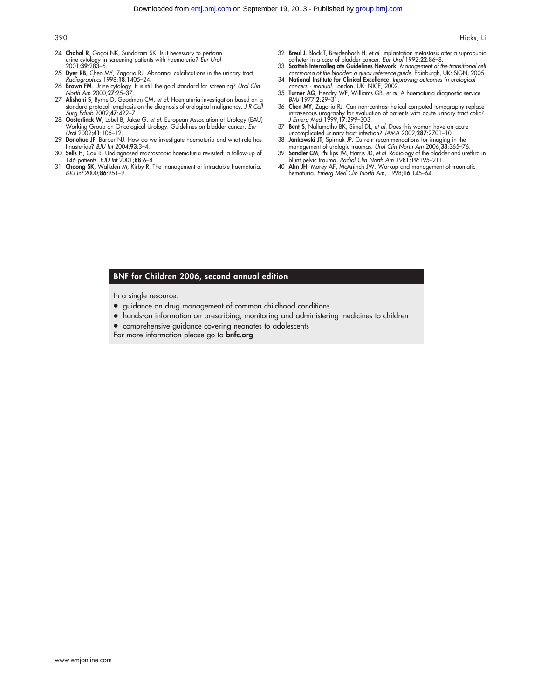- 24 Chahal R, Gogoi NK, Sundaram SK. Is it necessary to perform urine cytology in screening patients with haematuria? *Eur Urol*<br>2001;**39**:283–6.
- 25 Dyer RB, Chen MY, Zagoria RJ. Abnormal calcifications in the urinary tract. Radiographics 1998;18:1405–24.
- 26 Brown FM. Urine cytology. It is still the gold standard for screening? Urol Clin North Am 2000;27:25–37.
- 27 Alishahi S, Byrne D, Goodman CM, et al. Haematuria investigation based on a standard protocol: emphasis on the diagnosis of urological malignancy. J R Coll Surg Edinb 2002;47:422–7.
- 28 Oosterlinck W, Lobel B, Jakse G, et al. European Association of Urology (EAU) Working Group on Oncological Urology. Guidelines on bladder cancer. Eur Urol 2002;41:105–12.
- 29 Donohue JF, Barber NJ. How do we investigate haematuria and what role has finasteride? BJU Int 2004;93:3–4.
- 30 Sells H, Cox R. Undiagnosed macroscopic haematuria revisited: a follow-up of 146 patients. BJU Int 2001;88:6–8.
- 31 Choong SK, Walkden M, Kirby R. The management of intractable haematuria. BJU Int 2000;86:951–9.
- 32 Breul J, Block T, Breidenbach H, et al. Implantation metastasis after a suprapubic catheter in a case of bladder cancer. Eur Urol 1992;22:86–8.
- 33 Scottish Intercollegiate Guidelines Network. Management of the transitional cell carcinoma of the bladder: a quick reference guide. Edinburgh, UK: SIGN, 2005.
- 34 National Institute for Clinical Excellence. Improving outcomes in urological cancers - manual. London, UK: NICE, 2002.
- 35 Turner AG, Hendry WF, Williams GB, et al. A haematuria diagnostic service. BMJ 1977;2:29–31.
- 36 Chen MY, Zagoria RJ. Can non-contrast helical computed tomography replace intravenous urography for evaluation of patients with acute urinary tract colic? J Emerg Med 1999;17:299–303.
- 37 Bent S, Nallamothu BK, Simel DL, et al. Does this woman have an acute uncomplicated urinary tract infection? JAMA 2002;287:2701–10.
- 38 Jankowski JT, Spirnak JP. Current recommendations for imaging in the management of urologic traumas. Urol Clin North Am 2006;33:365-76.
- 39 Sandler CM, Phillips JM, Harris JD, et al. Radiology of the bladder and urethra in blunt pelvic trauma. Radiol Clin North Am 1981;19:195–211.
- 40 Ahn JH, Morey AF, McAninch JW. Workup and management of traumatic hematuria. Emerg Med Clin North Am, 1998;16:145–64.

#### BNF for Children 2006, second annual edition

In a single resource:

- guidance on drug management of common childhood conditions
- hands-on information on prescribing, monitoring and administering medicines to children
- comprehensive guidance covering neonates to adolescents

For more information please go to **bnfc.org**